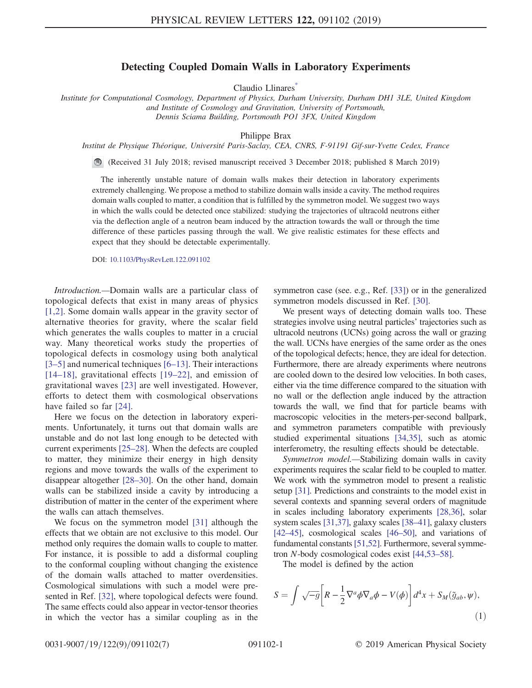## Detecting Coupled Domain Walls in Laboratory Experiments

Claudio Llinares<sup>\*</sup>

<span id="page-0-0"></span>Institute for Computational Cosmology, Department of Physics, Durham University, Durham DH1 3LE, United Kingdom and Institute of Cosmology and Gravitation, University of Portsmouth, Dennis Sciama Building, Portsmouth PO1 3FX, United Kingdom

Philippe Brax

Institut de Physique Théorique, Université Paris-Saclay, CEA, CNRS, F-91191 Gif-sur-Yvette Cedex, France

(Received 31 July 2018; revised manuscript received 3 December 2018; published 8 March 2019)

The inherently unstable nature of domain walls makes their detection in laboratory experiments extremely challenging. We propose a method to stabilize domain walls inside a cavity. The method requires domain walls coupled to matter, a condition that is fulfilled by the symmetron model. We suggest two ways in which the walls could be detected once stabilized: studying the trajectories of ultracold neutrons either via the deflection angle of a neutron beam induced by the attraction towards the wall or through the time difference of these particles passing through the wall. We give realistic estimates for these effects and expect that they should be detectable experimentally.

DOI: [10.1103/PhysRevLett.122.091102](https://doi.org/10.1103/PhysRevLett.122.091102)

Introduction.—Domain walls are a particular class of topological defects that exist in many areas of physics [\[1,2\].](#page-5-1) Some domain walls appear in the gravity sector of alternative theories for gravity, where the scalar field which generates the walls couples to matter in a crucial way. Many theoretical works study the properties of topological defects in cosmology using both analytical [\[3](#page-5-2)–5] and numerical techniques [6–[13\].](#page-5-3) Their interactions [14–[18\]](#page-5-4), gravitational effects [19–[22\],](#page-5-5) and emission of gravitational waves [\[23\]](#page-5-6) are well investigated. However, efforts to detect them with cosmological observations have failed so far [\[24\]](#page-5-7).

Here we focus on the detection in laboratory experiments. Unfortunately, it turns out that domain walls are unstable and do not last long enough to be detected with current experiments [25–[28\].](#page-5-8) When the defects are coupled to matter, they minimize their energy in high density regions and move towards the walls of the experiment to disappear altogether [28–[30\].](#page-5-9) On the other hand, domain walls can be stabilized inside a cavity by introducing a distribution of matter in the center of the experiment where the walls can attach themselves.

We focus on the symmetron model [\[31\]](#page-5-10) although the effects that we obtain are not exclusive to this model. Our method only requires the domain walls to couple to matter. For instance, it is possible to add a disformal coupling to the conformal coupling without changing the existence of the domain walls attached to matter overdensities. Cosmological simulations with such a model were presented in Ref. [\[32\],](#page-5-11) where topological defects were found. The same effects could also appear in vector-tensor theories in which the vector has a similar coupling as in the symmetron case (see. e.g., Ref. [\[33\]](#page-5-12)) or in the generalized symmetron models discussed in Ref. [\[30\].](#page-5-13)

We present ways of detecting domain walls too. These strategies involve using neutral particles' trajectories such as ultracold neutrons (UCNs) going across the wall or grazing the wall. UCNs have energies of the same order as the ones of the topological defects; hence, they are ideal for detection. Furthermore, there are already experiments where neutrons are cooled down to the desired low velocities. In both cases, either via the time difference compared to the situation with no wall or the deflection angle induced by the attraction towards the wall, we find that for particle beams with macroscopic velocities in the meters-per-second ballpark, and symmetron parameters compatible with previously studied experimental situations [\[34,35\]](#page-5-14), such as atomic interferometry, the resulting effects should be detectable.

Symmetron model.—Stabilizing domain walls in cavity experiments requires the scalar field to be coupled to matter. We work with the symmetron model to present a realistic setup [\[31\]](#page-5-10). Predictions and constraints to the model exist in several contexts and spanning several orders of magnitude in scales including laboratory experiments [\[28,36\],](#page-5-9) solar system scales [\[31,37\],](#page-5-10) galaxy scales [38–[41\],](#page-5-15) galaxy clusters [\[42](#page-5-16)–45], cosmological scales [\[46](#page-5-17)–50], and variations of fundamental constants [\[51,52\]](#page-5-18). Furthermore, several symmetron N-body cosmological codes exist [\[44,53](#page-5-19)–58].

The model is defined by the action

$$
S = \int \sqrt{-g} \left[ R - \frac{1}{2} \nabla^a \phi \nabla_a \phi - V(\phi) \right] d^4 x + S_M(\tilde{g}_{ab}, \psi), \tag{1}
$$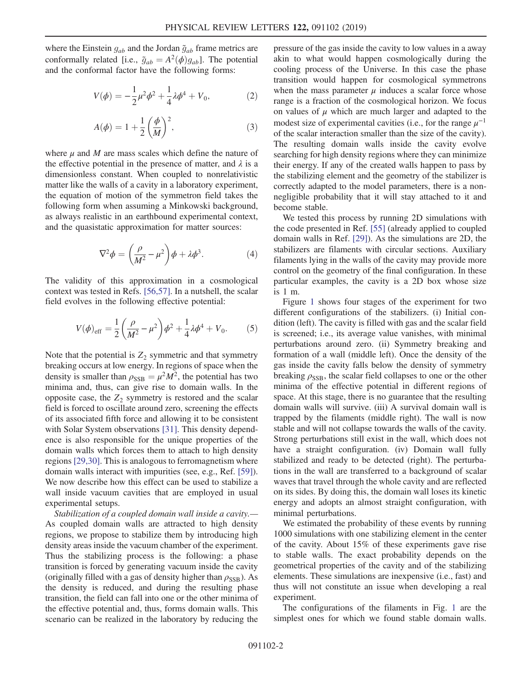where the Einstein  $g_{ab}$  and the Jordan  $\tilde{g}_{ab}$  frame metrics are conformally related [i.e.,  $\tilde{g}_{ab} = A^2(\phi)g_{ab}$ ]. The potential and the conformal factor have the following forms:

$$
V(\phi) = -\frac{1}{2}\mu^2 \phi^2 + \frac{1}{4}\lambda \phi^4 + V_0,
$$
 (2)

$$
A(\phi) = 1 + \frac{1}{2} \left(\frac{\phi}{M}\right)^2, \tag{3}
$$

where  $\mu$  and M are mass scales which define the nature of the effective potential in the presence of matter, and  $\lambda$  is a dimensionless constant. When coupled to nonrelativistic matter like the walls of a cavity in a laboratory experiment, the equation of motion of the symmetron field takes the following form when assuming a Minkowski background, as always realistic in an earthbound experimental context, and the quasistatic approximation for matter sources:

$$
\nabla^2 \phi = \left(\frac{\rho}{M^2} - \mu^2\right) \phi + \lambda \phi^3. \tag{4}
$$

<span id="page-1-0"></span>The validity of this approximation in a cosmological context was tested in Refs. [\[56,57\].](#page-5-20) In a nutshell, the scalar field evolves in the following effective potential:

$$
V(\phi)_{\text{eff}} = \frac{1}{2} \left( \frac{\rho}{M^2} - \mu^2 \right) \phi^2 + \frac{1}{4} \lambda \phi^4 + V_0. \tag{5}
$$

Note that the potential is  $Z_2$  symmetric and that symmetry breaking occurs at low energy. In regions of space when the density is smaller than  $\rho_{\text{SSB}} = \mu^2 M^2$ , the potential has two minima and, thus, can give rise to domain walls. In the opposite case, the  $Z_2$  symmetry is restored and the scalar field is forced to oscillate around zero, screening the effects of its associated fifth force and allowing it to be consistent with Solar System observations [\[31\].](#page-5-10) This density dependence is also responsible for the unique properties of the domain walls which forces them to attach to high density regions [\[29,30\].](#page-5-21) This is analogous to ferromagnetism where domain walls interact with impurities (see, e.g., Ref. [\[59\]](#page-5-22)). We now describe how this effect can be used to stabilize a wall inside vacuum cavities that are employed in usual experimental setups.

Stabilization of a coupled domain wall inside a cavity.— As coupled domain walls are attracted to high density regions, we propose to stabilize them by introducing high density areas inside the vacuum chamber of the experiment. Thus the stabilizing process is the following: a phase transition is forced by generating vacuum inside the cavity (originally filled with a gas of density higher than  $\rho_{SSB}$ ). As the density is reduced, and during the resulting phase transition, the field can fall into one or the other minima of the effective potential and, thus, forms domain walls. This scenario can be realized in the laboratory by reducing the pressure of the gas inside the cavity to low values in a away akin to what would happen cosmologically during the cooling process of the Universe. In this case the phase transition would happen for cosmological symmetrons when the mass parameter  $\mu$  induces a scalar force whose range is a fraction of the cosmological horizon. We focus on values of  $\mu$  which are much larger and adapted to the modest size of experimental cavities (i.e., for the range  $\mu^{-1}$ of the scalar interaction smaller than the size of the cavity). The resulting domain walls inside the cavity evolve searching for high density regions where they can minimize their energy. If any of the created walls happen to pass by the stabilizing element and the geometry of the stabilizer is correctly adapted to the model parameters, there is a nonnegligible probability that it will stay attached to it and become stable.

We tested this process by running 2D simulations with the code presented in Ref. [\[55\]](#page-5-23) (already applied to coupled domain walls in Ref. [\[29\]](#page-5-21)). As the simulations are 2D, the stabilizers are filaments with circular sections. Auxiliary filaments lying in the walls of the cavity may provide more control on the geometry of the final configuration. In these particular examples, the cavity is a 2D box whose size is 1 m.

Figure [1](#page-2-0) shows four stages of the experiment for two different configurations of the stabilizers. (i) Initial condition (left). The cavity is filled with gas and the scalar field is screened; i.e., its average value vanishes, with minimal perturbations around zero. (ii) Symmetry breaking and formation of a wall (middle left). Once the density of the gas inside the cavity falls below the density of symmetry breaking  $\rho_{\text{SSB}}$ , the scalar field collapses to one or the other minima of the effective potential in different regions of space. At this stage, there is no guarantee that the resulting domain walls will survive. (iii) A survival domain wall is trapped by the filaments (middle right). The wall is now stable and will not collapse towards the walls of the cavity. Strong perturbations still exist in the wall, which does not have a straight configuration. (iv) Domain wall fully stabilized and ready to be detected (right). The perturbations in the wall are transferred to a background of scalar waves that travel through the whole cavity and are reflected on its sides. By doing this, the domain wall loses its kinetic energy and adopts an almost straight configuration, with minimal perturbations.

We estimated the probability of these events by running 1000 simulations with one stabilizing element in the center of the cavity. About 15% of these experiments gave rise to stable walls. The exact probability depends on the geometrical properties of the cavity and of the stabilizing elements. These simulations are inexpensive (i.e., fast) and thus will not constitute an issue when developing a real experiment.

The configurations of the filaments in Fig. [1](#page-2-0) are the simplest ones for which we found stable domain walls.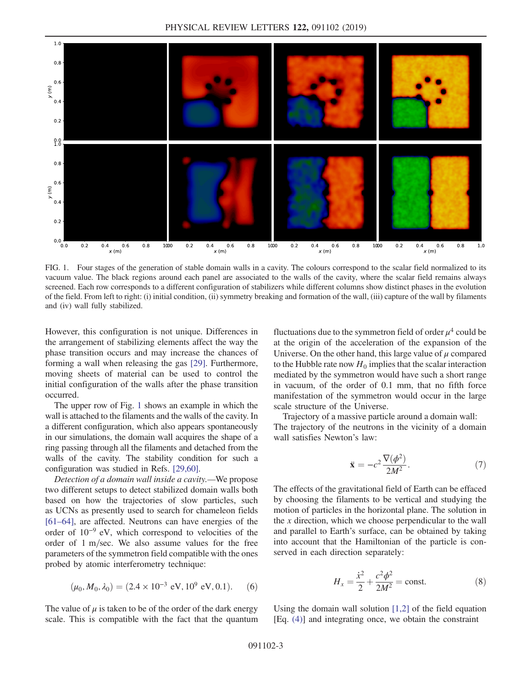<span id="page-2-0"></span>

FIG. 1. Four stages of the generation of stable domain walls in a cavity. The colours correspond to the scalar field normalized to its vacuum value. The black regions around each panel are associated to the walls of the cavity, where the scalar field remains always screened. Each row corresponds to a different configuration of stabilizers while different columns show distinct phases in the evolution of the field. From left to right: (i) initial condition, (ii) symmetry breaking and formation of the wall, (iii) capture of the wall by filaments and (iv) wall fully stabilized.

However, this configuration is not unique. Differences in the arrangement of stabilizing elements affect the way the phase transition occurs and may increase the chances of forming a wall when releasing the gas [\[29\]](#page-5-21). Furthermore, moving sheets of material can be used to control the initial configuration of the walls after the phase transition occurred.

The upper row of Fig. [1](#page-2-0) shows an example in which the wall is attached to the filaments and the walls of the cavity. In a different configuration, which also appears spontaneously in our simulations, the domain wall acquires the shape of a ring passing through all the filaments and detached from the walls of the cavity. The stability condition for such a configuration was studied in Refs. [\[29,60\]](#page-5-21).

Detection of a domain wall inside a cavity.—We propose two different setups to detect stabilized domain walls both based on how the trajectories of slow particles, such as UCNs as presently used to search for chameleon fields [\[61](#page-6-0)–64], are affected. Neutrons can have energies of the order of 10<sup>−</sup><sup>9</sup> eV, which correspond to velocities of the order of  $1 \text{ m/sec}$ . We also assume values for the free parameters of the symmetron field compatible with the ones probed by atomic interferometry technique:

<span id="page-2-1"></span>
$$
(\mu_0, M_0, \lambda_0) = (2.4 \times 10^{-3} \text{ eV}, 10^9 \text{ eV}, 0.1). \quad (6)
$$

The value of  $\mu$  is taken to be of the order of the dark energy scale. This is compatible with the fact that the quantum fluctuations due to the symmetron field of order  $\mu^4$  could be at the origin of the acceleration of the expansion of the Universe. On the other hand, this large value of  $\mu$  compared to the Hubble rate now  $H_0$  implies that the scalar interaction mediated by the symmetron would have such a short range in vacuum, of the order of 0.1 mm, that no fifth force manifestation of the symmetron would occur in the large scale structure of the Universe.

Trajectory of a massive particle around a domain wall: The trajectory of the neutrons in the vicinity of a domain wall satisfies Newton's law:

$$
\ddot{\mathbf{x}} = -c^2 \frac{\nabla(\phi^2)}{2M^2}.
$$
 (7)

The effects of the gravitational field of Earth can be effaced by choosing the filaments to be vertical and studying the motion of particles in the horizontal plane. The solution in the  $x$  direction, which we choose perpendicular to the wall and parallel to Earth's surface, can be obtained by taking into account that the Hamiltonian of the particle is conserved in each direction separately:

$$
H_x = \frac{\dot{x}^2}{2} + \frac{c^2 \phi^2}{2M^2} = \text{const.}
$$
 (8)

Using the domain wall solution  $[1,2]$  of the field equation [Eq. [\(4\)](#page-1-0)] and integrating once, we obtain the constraint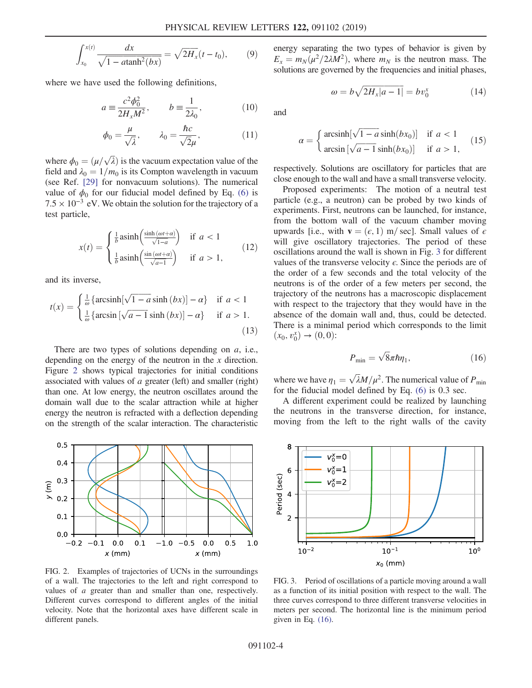$$
\int_{x_0}^{x(t)} \frac{dx}{\sqrt{1 - a \tanh^2(bx)}} = \sqrt{2H_x}(t - t_0),
$$
 (9)

where we have used the following definitions,

$$
a \equiv \frac{c^2 \phi_0^2}{2H_x M^2}, \qquad b \equiv \frac{1}{2\lambda_0}, \tag{10}
$$

$$
\phi_0 = \frac{\mu}{\sqrt{\lambda}}, \qquad \lambda_0 = \frac{\hbar c}{\sqrt{2}\mu}, \tag{11}
$$

where  $\phi_0 = (\mu/\sqrt{\lambda})$  is the vacuum expectation value of the field and  $\lambda_0 = 1/m_0$  is its Compton wavelength in vacuum field and  $\lambda_0 = 1/m_0$  is its Compton wavelength in vacuum (see Ref. [\[29\]](#page-5-21) for nonvacuum solutions). The numerical value of  $\phi_0$  for our fiducial model defined by Eq. [\(6\)](#page-2-1) is  $7.5 \times 10^{-3}$  eV. We obtain the solution for the trajectory of a test particle,

$$
x(t) = \begin{cases} \frac{1}{b} \operatorname{asinh}\left(\frac{\sinh(\omega t + a)}{\sqrt{1 - a}}\right) & \text{if } a < 1\\ \frac{1}{b} \operatorname{asinh}\left(\frac{\sin(\omega t + a)}{\sqrt{a - 1}}\right) & \text{if } a > 1, \end{cases}
$$
(12)

and its inverse,

$$
t(x) = \begin{cases} \frac{1}{\omega} \left\{ \arcsinh[\sqrt{1-a}\sinh(bx)] - \alpha \right\} & \text{if } a < 1\\ \frac{1}{\omega} \left\{ \arcsin[\sqrt{a-1}\sinh(bx)] - \alpha \right\} & \text{if } a > 1. \end{cases} \tag{13}
$$

There are two types of solutions depending on a, i.e., depending on the energy of the neutron in the x direction. Figure [2](#page-3-0) shows typical trajectories for initial conditions associated with values of  $a$  greater (left) and smaller (right) than one. At low energy, the neutron oscillates around the domain wall due to the scalar attraction while at higher energy the neutron is refracted with a deflection depending on the strength of the scalar interaction. The characteristic

<span id="page-3-0"></span>

FIG. 2. Examples of trajectories of UCNs in the surroundings of a wall. The trajectories to the left and right correspond to values of a greater than and smaller than one, respectively. Different curves correspond to different angles of the initial velocity. Note that the horizontal axes have different scale in different panels.

energy separating the two types of behavior is given by  $E_x = m_N(\mu^2/2\lambda M^2)$ , where  $m_N$  is the neutron mass. The solutions are governed by the frequencies and initial phases,

$$
\omega = b\sqrt{2H_x|a-1|} = bv_0^x \tag{14}
$$

and

$$
\alpha = \begin{cases} \arcsinh[\sqrt{1-a}\sinh(bx_0)] & \text{if } a < 1\\ \arcsin[\sqrt{a-1}\sinh(bx_0)] & \text{if } a > 1, \end{cases}
$$
 (15)

respectively. Solutions are oscillatory for particles that are close enough to the wall and have a small transverse velocity.

Proposed experiments: The motion of a neutral test particle (e.g., a neutron) can be probed by two kinds of experiments. First, neutrons can be launched, for instance, from the bottom wall of the vacuum chamber moving upwards [i.e., with  $\mathbf{v} = (\epsilon, 1)$  m/sec]. Small values of  $\epsilon$ will give oscillatory trajectories. The period of these oscillations around the wall is shown in Fig. [3](#page-3-1) for different values of the transverse velocity  $\epsilon$ . Since the periods are of the order of a few seconds and the total velocity of the neutrons is of the order of a few meters per second, the trajectory of the neutrons has a macroscopic displacement with respect to the trajectory that they would have in the absence of the domain wall and, thus, could be detected. There is a minimal period which corresponds to the limit  $(x_0, v_0^x) \to (0, 0)$ :

$$
P_{\min} = \sqrt{8\pi\hbar\eta_1},\tag{16}
$$

<span id="page-3-2"></span>where we have  $\eta_1 = \sqrt{\lambda} M/\mu^2$ . The numerical value of  $P_{\text{min}}$  for the fiducial model defined by Eq. (6) is 0.3 sec. for the fiducial model defined by Eq. [\(6\)](#page-2-1) is 0.3 sec.

A different experiment could be realized by launching the neutrons in the transverse direction, for instance, moving from the left to the right walls of the cavity

<span id="page-3-1"></span>

FIG. 3. Period of oscillations of a particle moving around a wall as a function of its initial position with respect to the wall. The three curves correspond to three different transverse velocities in meters per second. The horizontal line is the minimum period given in Eq. [\(16\).](#page-3-2)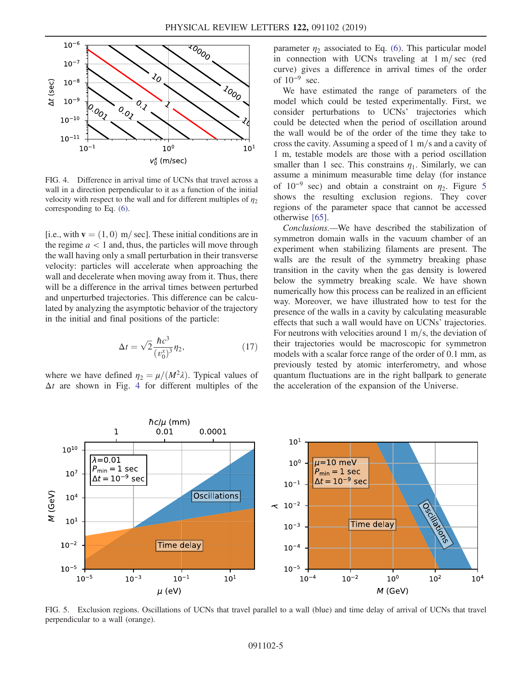<span id="page-4-0"></span>

FIG. 4. Difference in arrival time of UCNs that travel across a wall in a direction perpendicular to it as a function of the initial velocity with respect to the wall and for different multiples of  $\eta_2$ corresponding to Eq. [\(6\)](#page-2-1).

[i.e., with  $\mathbf{v} = (1, 0)$  m/sec]. These initial conditions are in the regime  $a < 1$  and, thus, the particles will move through the wall having only a small perturbation in their transverse velocity: particles will accelerate when approaching the wall and decelerate when moving away from it. Thus, there will be a difference in the arrival times between perturbed and unperturbed trajectories. This difference can be calculated by analyzing the asymptotic behavior of the trajectory in the initial and final positions of the particle:

$$
\Delta t = \sqrt{2} \frac{\hbar c^3}{(v_0^x)^3} \eta_2,\tag{17}
$$

where we have defined  $\eta_2 = \mu/(M^2\lambda)$ . Typical values of  $\Delta t$  are shown in Fig. [4](#page-4-0) for different multiples of the parameter  $\eta_2$  associated to Eq. [\(6\).](#page-2-1) This particular model in connection with UCNs traveling at  $1 \text{ m/sec}$  (red curve) gives a difference in arrival times of the order of  $10^{-9}$  sec.

We have estimated the range of parameters of the model which could be tested experimentally. First, we consider perturbations to UCNs' trajectories which could be detected when the period of oscillation around the wall would be of the order of the time they take to cross the cavity. Assuming a speed of  $1 \text{ m/s}$  and a cavity of 1 m, testable models are those with a period oscillation smaller than 1 sec. This constrains  $\eta_1$ . Similarly, we can assume a minimum measurable time delay (for instance of  $10^{-9}$  sec) and obtain a constraint on  $\eta_2$ . Figure [5](#page-4-1) shows the resulting exclusion regions. They cover regions of the parameter space that cannot be accessed otherwise [\[65\]](#page-6-1).

Conclusions.—We have described the stabilization of symmetron domain walls in the vacuum chamber of an experiment when stabilizing filaments are present. The walls are the result of the symmetry breaking phase transition in the cavity when the gas density is lowered below the symmetry breaking scale. We have shown numerically how this process can be realized in an efficient way. Moreover, we have illustrated how to test for the presence of the walls in a cavity by calculating measurable effects that such a wall would have on UCNs' trajectories. For neutrons with velocities around  $1 \text{ m/s}$ , the deviation of their trajectories would be macroscopic for symmetron models with a scalar force range of the order of 0.1 mm, as previously tested by atomic interferometry, and whose quantum fluctuations are in the right ballpark to generate the acceleration of the expansion of the Universe.

<span id="page-4-1"></span>

FIG. 5. Exclusion regions. Oscillations of UCNs that travel parallel to a wall (blue) and time delay of arrival of UCNs that travel perpendicular to a wall (orange).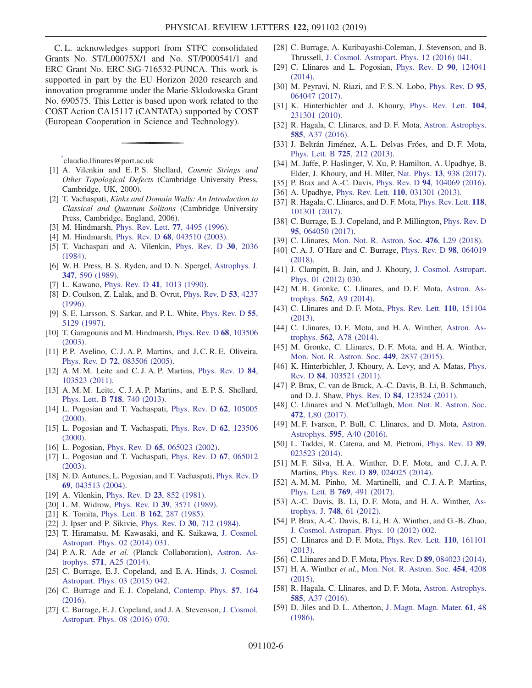C. L. acknowledges support from STFC consolidated Grants No. ST/L00075X/1 and No. ST/P000541/1 and ERC Grant No. ERC-StG-716532-PUNCA. This work is supported in part by the EU Horizon 2020 research and innovation programme under the Marie-Sklodowska Grant No. 690575. This Letter is based upon work related to the COST Action CA15117 (CANTATA) supported by COST (European Cooperation in Science and Technology).

<span id="page-5-0"></span>[\\*](#page-0-0) claudio.llinares@port.ac.uk

- <span id="page-5-1"></span>[1] A. Vilenkin and E.P.S. Shellard, Cosmic Strings and Other Topological Defects (Cambridge University Press, Cambridge, UK, 2000).
- [2] T. Vachaspati, Kinks and Domain Walls: An Introduction to Classical and Quantum Solitons (Cambridge University Press, Cambridge, England, 2006).
- <span id="page-5-2"></span>[3] M. Hindmarsh, [Phys. Rev. Lett.](https://doi.org/10.1103/PhysRevLett.77.4495) **77**, 4495 (1996).
- [4] M. Hindmarsh, Phys. Rev. D 68[, 043510 \(2003\)](https://doi.org/10.1103/PhysRevD.68.043510).
- <span id="page-5-3"></span>[5] T. Vachaspati and A. Vilenkin, [Phys. Rev. D](https://doi.org/10.1103/PhysRevD.30.2036) 30, 2036 [\(1984\).](https://doi.org/10.1103/PhysRevD.30.2036)
- [6] W. H. Press, B. S. Ryden, and D. N. Spergel, [Astrophys. J.](https://doi.org/10.1086/168151) 347[, 590 \(1989\)](https://doi.org/10.1086/168151).
- [7] L. Kawano, Phys. Rev. D 41[, 1013 \(1990\)](https://doi.org/10.1103/PhysRevD.41.1013).
- [8] D. Coulson, Z. Lalak, and B. Ovrut, [Phys. Rev. D](https://doi.org/10.1103/PhysRevD.53.4237) 53, 4237 [\(1996\).](https://doi.org/10.1103/PhysRevD.53.4237)
- [9] S. E. Larsson, S. Sarkar, and P. L. White, [Phys. Rev. D](https://doi.org/10.1103/PhysRevD.55.5129) 55, [5129 \(1997\)](https://doi.org/10.1103/PhysRevD.55.5129).
- [10] T. Garagounis and M. Hindmarsh, [Phys. Rev. D](https://doi.org/10.1103/PhysRevD.68.103506) 68, 103506 [\(2003\).](https://doi.org/10.1103/PhysRevD.68.103506)
- [11] P. P. Avelino, C. J. A. P. Martins, and J. C. R. E. Oliveira, Phys. Rev. D 72[, 083506 \(2005\)](https://doi.org/10.1103/PhysRevD.72.083506).
- [12] A. M. M. Leite and C. J. A. P. Martins, [Phys. Rev. D](https://doi.org/10.1103/PhysRevD.84.103523) 84, [103523 \(2011\).](https://doi.org/10.1103/PhysRevD.84.103523)
- <span id="page-5-4"></span>[13] A. M. M. Leite, C. J. A. P. Martins, and E. P. S. Shellard, [Phys. Lett. B](https://doi.org/10.1016/j.physletb.2012.11.070) 718, 740 (2013).
- [14] L. Pogosian and T. Vachaspati, [Phys. Rev. D](https://doi.org/10.1103/PhysRevD.62.105005) 62, 105005 [\(2000\).](https://doi.org/10.1103/PhysRevD.62.105005)
- [15] L. Pogosian and T. Vachaspati, [Phys. Rev. D](https://doi.org/10.1103/PhysRevD.62.123506) 62, 123506 [\(2000\).](https://doi.org/10.1103/PhysRevD.62.123506)
- [16] L. Pogosian, Phys. Rev. D 65[, 065023 \(2002\)](https://doi.org/10.1103/PhysRevD.65.065023).
- [17] L. Pogosian and T. Vachaspati, [Phys. Rev. D](https://doi.org/10.1103/PhysRevD.67.065012) 67, 065012 [\(2003\).](https://doi.org/10.1103/PhysRevD.67.065012)
- <span id="page-5-5"></span>[18] N. D. Antunes, L. Pogosian, and T. Vachaspati, [Phys. Rev. D](https://doi.org/10.1103/PhysRevD.69.043513) 69[, 043513 \(2004\).](https://doi.org/10.1103/PhysRevD.69.043513)
- [19] A. Vilenkin, *[Phys. Rev. D](https://doi.org/10.1103/PhysRevD.23.852)* **23**, 852 (1981).
- [20] L. M. Widrow, Phys. Rev. D **39**[, 3571 \(1989\).](https://doi.org/10.1103/PhysRevD.39.3571)
- [21] K. Tomita, [Phys. Lett. B](https://doi.org/10.1016/0370-2693(85)90924-4) 162, 287 (1985).
- <span id="page-5-6"></span>[22] J. Ipser and P. Sikivie, [Phys. Rev. D](https://doi.org/10.1103/PhysRevD.30.712) 30, 712 (1984).
- <span id="page-5-7"></span>[23] T. Hiramatsu, M. Kawasaki, and K. Saikawa, [J. Cosmol.](https://doi.org/10.1088/1475-7516/2014/02/031) [Astropart. Phys. 02 \(2014\) 031.](https://doi.org/10.1088/1475-7516/2014/02/031)
- <span id="page-5-8"></span>[24] P. A. R. Ade et al. (Planck Collaboration), [Astron. As](https://doi.org/10.1051/0004-6361/201321621)trophys. 571[, A25 \(2014\).](https://doi.org/10.1051/0004-6361/201321621)
- [25] C. Burrage, E. J. Copeland, and E. A. Hinds, [J. Cosmol.](https://doi.org/10.1088/1475-7516/2015/03/042) [Astropart. Phys. 03 \(2015\) 042.](https://doi.org/10.1088/1475-7516/2015/03/042)
- [26] C. Burrage and E. J. Copeland, [Contemp. Phys.](https://doi.org/10.1080/00107514.2015.1060058) 57, 164 [\(2016\).](https://doi.org/10.1080/00107514.2015.1060058)
- [27] C. Burrage, E. J. Copeland, and J. A. Stevenson, [J. Cosmol.](https://doi.org/10.1088/1475-7516/2016/08/070) [Astropart. Phys. 08 \(2016\) 070.](https://doi.org/10.1088/1475-7516/2016/08/070)
- <span id="page-5-9"></span>[28] C. Burrage, A. Kuribayashi-Coleman, J. Stevenson, and B. Thrussell, [J. Cosmol. Astropart. Phys. 12 \(2016\) 041.](https://doi.org/10.1088/1475-7516/2016/12/041)
- <span id="page-5-21"></span>[29] C. Llinares and L. Pogosian, [Phys. Rev. D](https://doi.org/10.1103/PhysRevD.90.124041) 90, 124041 [\(2014\).](https://doi.org/10.1103/PhysRevD.90.124041)
- <span id="page-5-13"></span>[30] M. Peyravi, N. Riazi, and F. S. N. Lobo, [Phys. Rev. D](https://doi.org/10.1103/PhysRevD.95.064047) 95, [064047 \(2017\).](https://doi.org/10.1103/PhysRevD.95.064047)
- <span id="page-5-10"></span>[31] K. Hinterbichler and J. Khoury, [Phys. Rev. Lett.](https://doi.org/10.1103/PhysRevLett.104.231301) 104, [231301 \(2010\).](https://doi.org/10.1103/PhysRevLett.104.231301)
- <span id="page-5-11"></span>[32] R. Hagala, C. Llinares, and D. F. Mota, [Astron. Astrophys.](https://doi.org/10.1051/0004-6361/201526439) 585[, A37 \(2016\).](https://doi.org/10.1051/0004-6361/201526439)
- <span id="page-5-12"></span>[33] J. Beltrán Jiménez, A. L. Delvas Fróes, and D. F. Mota, [Phys. Lett. B](https://doi.org/10.1016/j.physletb.2013.07.032) 725, 212 (2013).
- <span id="page-5-14"></span>[34] M. Jaffe, P. Haslinger, V. Xu, P. Hamilton, A. Upadhye, B. Elder, J. Khoury, and H. Mller, Nat. Phys. 13[, 938 \(2017\).](https://doi.org/10.1038/nphys4189)
- [35] P. Brax and A.-C. Davis, Phys. Rev. D 94[, 104069 \(2016\).](https://doi.org/10.1103/PhysRevD.94.104069)
- [36] A. Upadhye, Phys. Rev. Lett. **110**[, 031301 \(2013\)](https://doi.org/10.1103/PhysRevLett.110.031301).
- [37] R. Hagala, C. Llinares, and D. F. Mota, [Phys. Rev. Lett.](https://doi.org/10.1103/PhysRevLett.118.101301) 118, [101301 \(2017\).](https://doi.org/10.1103/PhysRevLett.118.101301)
- <span id="page-5-15"></span>[38] C. Burrage, E. J. Copeland, and P. Millington, [Phys. Rev. D](https://doi.org/10.1103/PhysRevD.95.064050) 95[, 064050 \(2017\).](https://doi.org/10.1103/PhysRevD.95.064050)
- [39] C. Llinares, [Mon. Not. R. Astron. Soc.](https://doi.org/10.1093/mnrasl/sly021) 476, L29 (2018).
- [40] C. A. J. O'Hare and C. Burrage, [Phys. Rev. D](https://doi.org/10.1103/PhysRevD.98.064019) 98, 064019 [\(2018\).](https://doi.org/10.1103/PhysRevD.98.064019)
- [41] J. Clampitt, B. Jain, and J. Khoury, [J. Cosmol. Astropart.](https://doi.org/10.1088/1475-7516/2012/01/030) [Phys. 01 \(2012\) 030.](https://doi.org/10.1088/1475-7516/2012/01/030)
- <span id="page-5-16"></span>[42] M. B. Gronke, C. Llinares, and D. F. Mota, [Astron. As](https://doi.org/10.1051/0004-6361/201322403)trophys. 562[, A9 \(2014\).](https://doi.org/10.1051/0004-6361/201322403)
- [43] C. Llinares and D. F. Mota, [Phys. Rev. Lett.](https://doi.org/10.1103/PhysRevLett.110.151104) **110**, 151104 [\(2013\).](https://doi.org/10.1103/PhysRevLett.110.151104)
- <span id="page-5-19"></span>[44] C. Llinares, D. F. Mota, and H. A. Winther, [Astron. As](https://doi.org/10.1051/0004-6361/201322412)trophys. 562[, A78 \(2014\).](https://doi.org/10.1051/0004-6361/201322412)
- [45] M. Gronke, C. Llinares, D. F. Mota, and H. A. Winther, [Mon. Not. R. Astron. Soc.](https://doi.org/10.1093/mnras/stv496) 449, 2837 (2015).
- <span id="page-5-17"></span>[46] K. Hinterbichler, J. Khoury, A. Levy, and A. Matas, [Phys.](https://doi.org/10.1103/PhysRevD.84.103521) Rev. D 84[, 103521 \(2011\)](https://doi.org/10.1103/PhysRevD.84.103521).
- [47] P. Brax, C. van de Bruck, A.-C. Davis, B. Li, B. Schmauch, and D. J. Shaw, Phys. Rev. D 84[, 123524 \(2011\).](https://doi.org/10.1103/PhysRevD.84.123524)
- [48] C. Llinares and N. McCullagh, [Mon. Not. R. Astron. Soc.](https://doi.org/10.1093/mnrasl/slx137) 472[, L80 \(2017\)](https://doi.org/10.1093/mnrasl/slx137).
- [49] M. F. Ivarsen, P. Bull, C. Llinares, and D. Mota, [Astron.](https://doi.org/10.1051/0004-6361/201628604) Astrophys. 595[, A40 \(2016\)](https://doi.org/10.1051/0004-6361/201628604).
- [50] L. Taddei, R. Catena, and M. Pietroni, [Phys. Rev. D](https://doi.org/10.1103/PhysRevD.89.023523) 89, [023523 \(2014\).](https://doi.org/10.1103/PhysRevD.89.023523)
- <span id="page-5-18"></span>[51] M. F. Silva, H. A. Winther, D. F. Mota, and C. J. A. P. Martins, Phys. Rev. D 89[, 024025 \(2014\)](https://doi.org/10.1103/PhysRevD.89.024025).
- [52] A. M. M. Pinho, M. Martinelli, and C. J. A. P. Martins, [Phys. Lett. B](https://doi.org/10.1016/j.physletb.2017.04.027) 769, 491 (2017).
- [53] A.-C. Davis, B. Li, D.F. Mota, and H.A. Winther, [As](https://doi.org/10.1088/0004-637X/748/1/61)trophys. J. 748[, 61 \(2012\)](https://doi.org/10.1088/0004-637X/748/1/61).
- [54] P. Brax, A.-C. Davis, B. Li, H. A. Winther, and G.-B. Zhao, [J. Cosmol. Astropart. Phys. 10 \(2012\) 002.](https://doi.org/10.1088/1475-7516/2012/10/002)
- <span id="page-5-23"></span>[55] C. Llinares and D. F. Mota, [Phys. Rev. Lett.](https://doi.org/10.1103/PhysRevLett.110.161101) **110**, 161101 [\(2013\).](https://doi.org/10.1103/PhysRevLett.110.161101)
- <span id="page-5-20"></span>[56] C. Llinares and D. F. Mota, *Phys. Rev. D* **89**[, 084023 \(2014\).](https://doi.org/10.1103/PhysRevD.89.084023)
- [57] H. A. Winther et al., [Mon. Not. R. Astron. Soc.](https://doi.org/10.1093/mnras/stv2253) 454, 4208 [\(2015\).](https://doi.org/10.1093/mnras/stv2253)
- [58] R. Hagala, C. Llinares, and D. F. Mota, [Astron. Astrophys.](https://doi.org/10.1051/0004-6361/201526439) 585[, A37 \(2016\).](https://doi.org/10.1051/0004-6361/201526439)
- <span id="page-5-22"></span>[59] D. Jiles and D. L. Atherton, [J. Magn. Magn. Mater.](https://doi.org/10.1016/0304-8853(86)90066-1) 61, 48 [\(1986\).](https://doi.org/10.1016/0304-8853(86)90066-1)